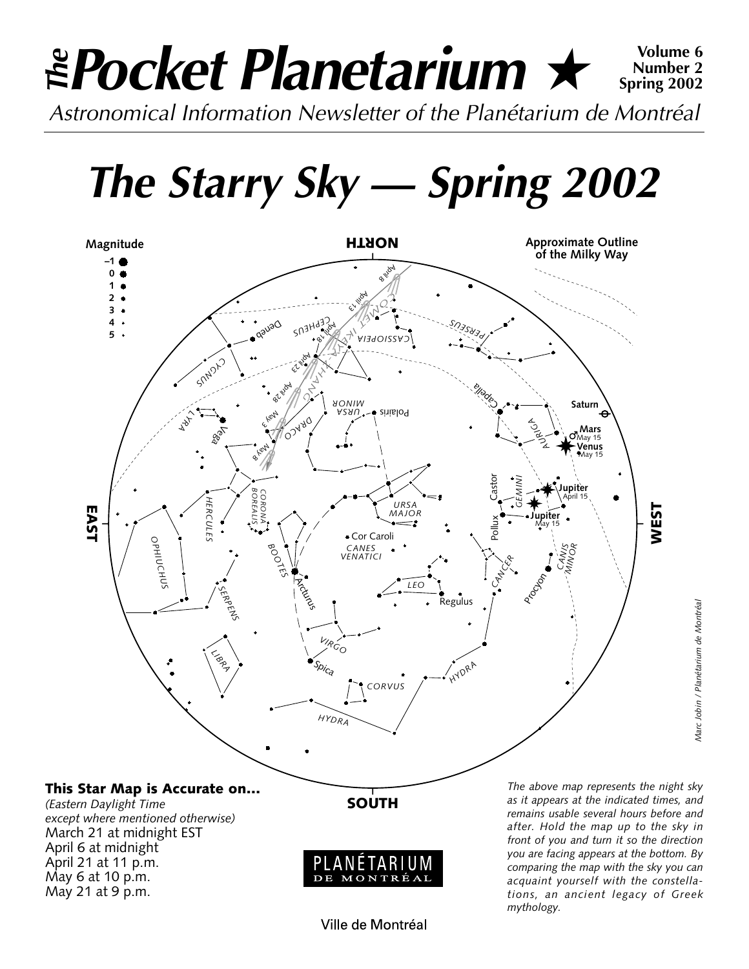### *Pocket Planetarium* ★ **Volume 6** *Astronomical Information Newsletter of the Planétarium de Montréal The***Spring 2002**

*The Starry Sky — Spring 2002*



**Number 2**

Ville de Montréal

MONTR

DE

May 6 at 10 p.m. May 21 at 9 p.m.

*as it appears at the indicated times, and remains usable several hours before and after. Hold the map up to the sky in front of you and turn it so the direction you are facing appears at the bottom. By comparing the map with the sky you can acquaint yourself with the constellations, an ancient legacy of Greek mythology.*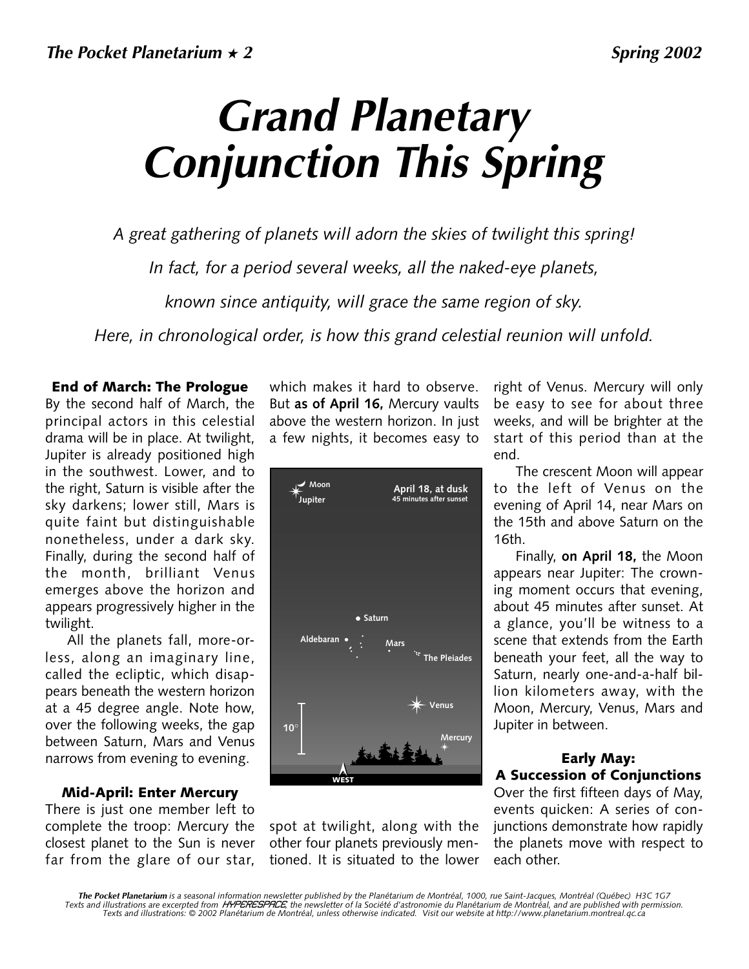# *Grand Planetary Conjunction This Spring*

*A great gathering of planets will adorn the skies of twilight this spring! In fact, for a period several weeks, all the naked-eye planets, known since antiquity, will grace the same region of sky.*

*Here, in chronological order, is how this grand celestial reunion will unfold.*

**End of March: The Prologue**  By the second half of March, the principal actors in this celestial drama will be in place. At twilight, Jupiter is already positioned high in the southwest. Lower, and to the right, Saturn is visible after the sky darkens; lower still, Mars is quite faint but distinguishable nonetheless, under a dark sky. Finally, during the second half of the month, brilliant Venus emerges above the horizon and appears progressively higher in the twilight.

All the planets fall, more-orless, along an imaginary line, called the ecliptic, which disappears beneath the western horizon at a 45 degree angle. Note how, over the following weeks, the gap between Saturn, Mars and Venus narrows from evening to evening.

#### **Mid-April: Enter Mercury**

There is just one member left to complete the troop: Mercury the closest planet to the Sun is never far from the glare of our star,

which makes it hard to observe. But **as of April 16,** Mercury vaults above the western horizon. In just a few nights, it becomes easy to



spot at twilight, along with the other four planets previously mentioned. It is situated to the lower

right of Venus. Mercury will only be easy to see for about three weeks, and will be brighter at the start of this period than at the end.

The crescent Moon will appear to the left of Venus on the evening of April 14, near Mars on the 15th and above Saturn on the 16th.

Finally, **on April 18,** the Moon appears near Jupiter: The crowning moment occurs that evening, about 45 minutes after sunset. At a glance, you'll be witness to a scene that extends from the Earth beneath your feet, all the way to Saturn, nearly one-and-a-half billion kilometers away, with the Moon, Mercury, Venus, Mars and Jupiter in between.

#### **Early May: A Succession of Conjunctions**

Over the first fifteen days of May, events quicken: A series of conjunctions demonstrate how rapidly the planets move with respect to each other.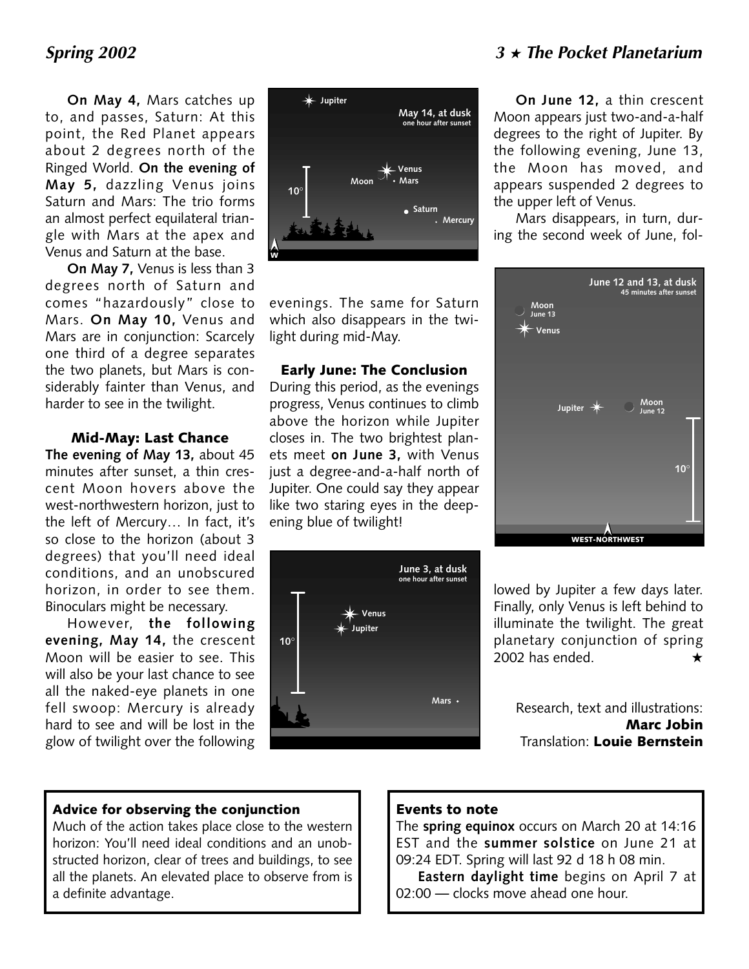**On May 4,** Mars catches up to, and passes, Saturn: At this point, the Red Planet appears about 2 degrees north of the Ringed World. **On the evening of May 5,** dazzling Venus joins Saturn and Mars: The trio forms an almost perfect equilateral triangle with Mars at the apex and Venus and Saturn at the base.

**On May 7,** Venus is less than 3 degrees north of Saturn and comes "hazardously" close to Mars. **On May 10,** Venus and Mars are in conjunction: Scarcely one third of a degree separates the two planets, but Mars is considerably fainter than Venus, and harder to see in the twilight.

#### **Mid-May: Last Chance**

**The evening of May 13,** about 45 minutes after sunset, a thin crescent Moon hovers above the west-northwestern horizon, just to the left of Mercury… In fact, it's so close to the horizon (about 3 degrees) that you'll need ideal conditions, and an unobscured horizon, in order to see them. Binoculars might be necessary.

However, **the following evening, May 14,** the crescent Moon will be easier to see. This will also be your last chance to see all the naked-eye planets in one fell swoop: Mercury is already hard to see and will be lost in the glow of twilight over the following



evenings. The same for Saturn which also disappears in the twilight during mid-May.

#### **Early June: The Conclusion**

During this period, as the evenings progress, Venus continues to climb above the horizon while Jupiter closes in. The two brightest planets meet **on June 3,** with Venus just a degree-and-a-half north of Jupiter. One could say they appear like two staring eyes in the deepening blue of twilight!



**On June 12,** a thin crescent Moon appears just two-and-a-half degrees to the right of Jupiter. By the following evening, June 13, the Moon has moved, and appears suspended 2 degrees to the upper left of Venus.

Mars disappears, in turn, during the second week of June, fol-



lowed by Jupiter a few days later. Finally, only Venus is left behind to illuminate the twilight. The great planetary conjunction of spring 2002 has ended.  $\star$ 

Research, text and illustrations: **Marc Jobin** Translation: **Louie Bernstein**

#### **Advice for observing the conjunction**

Much of the action takes place close to the western horizon: You'll need ideal conditions and an unobstructed horizon, clear of trees and buildings, to see all the planets. An elevated place to observe from is a definite advantage.

### **Events to note**

The **spring equinox** occurs on March 20 at 14:16 EST and the **summer solstice** on June 21 at 09:24 EDT. Spring will last 92 d 18 h 08 min.

**Eastern daylight time** begins on April 7 at 02:00 — clocks move ahead one hour.